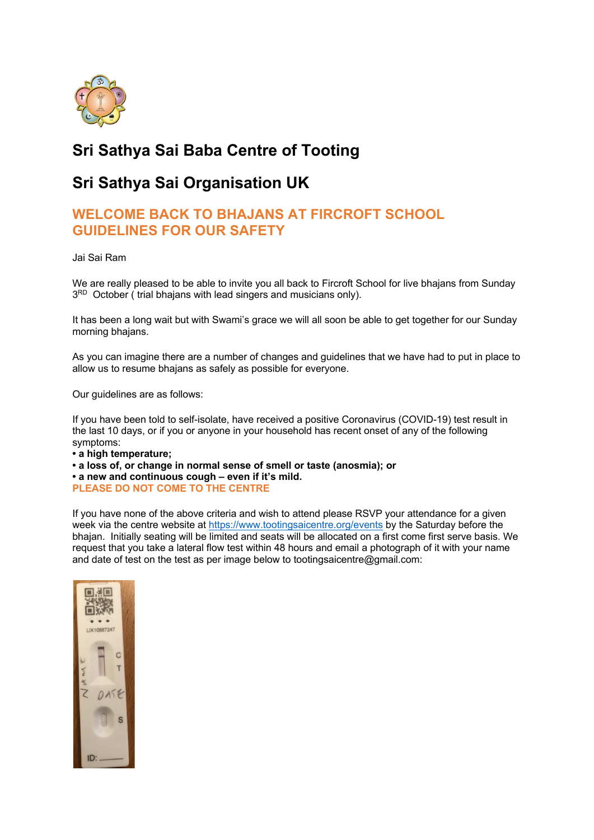

# **Sri Sathya Sai Baba Centre of Tooting**

## **Sri Sathya Sai Organisation UK**

### **WELCOME BACK TO BHAJANS AT FIRCROFT SCHOOL GUIDELINES FOR OUR SAFETY**

Jai Sai Ram

We are really pleased to be able to invite you all back to Fircroft School for live bhajans from Sunday 3<sup>RD</sup> October ( trial bhajans with lead singers and musicians only).

It has been a long wait but with Swami's grace we will all soon be able to get together for our Sunday morning bhajans.

As you can imagine there are a number of changes and guidelines that we have had to put in place to allow us to resume bhajans as safely as possible for everyone.

Our guidelines are as follows:

If you have been told to self-isolate, have received a positive Coronavirus (COVID-19) test result in the last 10 days, or if you or anyone in your household has recent onset of any of the following symptoms:

**• a high temperature;**

**• a loss of, or change in normal sense of smell or taste (anosmia); or • a new and continuous cough – even if it's mild.**

**PLEASE DO NOT COME TO THE CENTRE** 

If you have none of the above criteria and wish to attend please RSVP your attendance for a given week via the centre website at https://www.tootingsaicentre.org/events by the Saturday before the bhajan. Initially seating will be limited and seats will be allocated on a first come first serve basis. We request that you take a lateral flow test within 48 hours and email a photograph of it with your name and date of test on the test as per image below to tootingsaicentre@gmail.com: